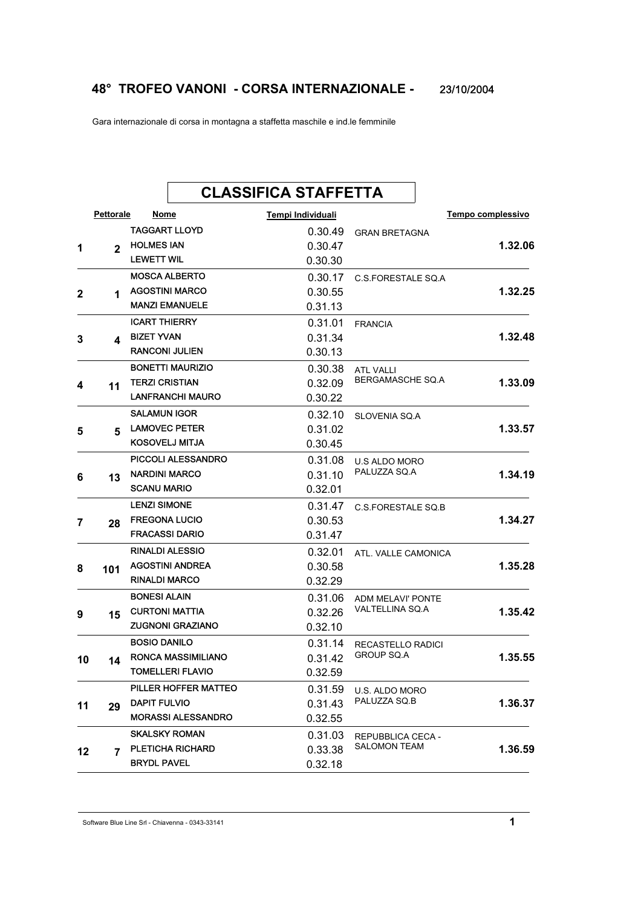## **48° TROFEO VANONI - CORSA INTERNAZIONALE -** 23/10/2004

Gara internazionale di corsa in montagna a staffetta maschile e ind.le femminile

| <b>Pettorale</b><br>Nome<br>Tempo complessivo<br>Tempi Individuali<br><b>TAGGART LLOYD</b><br>0.30.49<br><b>GRAN BRETAGNA</b><br><b>HOLMES IAN</b><br>0.30.47<br>$\mathbf{2}$<br><b>LEWETT WIL</b><br>0.30.30<br><b>MOSCA ALBERTO</b><br>0.30.17<br>C.S.FORESTALE SQ.A<br><b>AGOSTINI MARCO</b><br>0.30.55<br>2<br>1<br><b>MANZI EMANUELE</b><br>0.31.13<br><b>ICART THIERRY</b><br>0.31.01<br><b>FRANCIA</b><br><b>BIZET YVAN</b><br>0.31.34<br>3<br>4<br><b>RANCONI JULIEN</b><br>0.30.13<br><b>BONETTI MAURIZIO</b><br>0.30.38<br><b>ATL VALLI</b><br>BERGAMASCHE SQ.A<br><b>TERZI CRISTIAN</b><br>0.32.09<br>4<br>11<br><b>LANFRANCHI MAURO</b><br>0.30.22<br><b>SALAMUN IGOR</b><br>0.32.10<br>SLOVENIA SQ.A<br><b>LAMOVEC PETER</b><br>0.31.02<br>5<br>5<br>KOSOVELJ MITJA<br>0.30.45<br><b>PICCOLI ALESSANDRO</b><br>0.31.08<br>U.S ALDO MORO<br>PALUZZA SQ.A<br><b>NARDINI MARCO</b><br>0.31.10<br>6<br>13<br><b>SCANU MARIO</b><br>0.32.01<br><b>LENZI SIMONE</b><br>0.31.47<br>C.S. FORESTALE SQ.B<br><b>FREGONA LUCIO</b><br>0.30.53<br>7<br>28<br><b>FRACASSI DARIO</b><br>0.31.47<br><b>RINALDI ALESSIO</b><br>0.32.01<br>ATL. VALLE CAMONICA<br><b>AGOSTINI ANDREA</b><br>0.30.58<br>8<br>101<br><b>RINALDI MARCO</b><br>0.32.29<br><b>BONESI ALAIN</b><br>0.31.06<br><b>ADM MELAVI' PONTE</b><br>VALTELLINA SQ.A<br><b>CURTONI MATTIA</b><br>0.32.26<br>9<br>15<br><b>ZUGNONI GRAZIANO</b><br>0.32.10<br><b>BOSIO DANILO</b><br>0.31.14<br>RECASTELLO RADICI<br><b>GROUP SQ.A</b><br><b>RONCA MASSIMILIANO</b><br>0.31.42<br>10<br>14<br><b>TOMELLERI FLAVIO</b><br>0.32.59<br>PILLER HOFFER MATTEO<br>0.31.59<br>U.S. ALDO MORO<br>PALUZZA SQ.B<br><b>DAPIT FULVIO</b><br>0.31.43<br>11<br>29<br><b>MORASSI ALESSANDRO</b><br>0.32.55<br><b>SKALSKY ROMAN</b><br>0.31.03<br>REPUBBLICA CECA -<br><b>SALOMON TEAM</b><br>PLETICHA RICHARD<br>0.33.38<br>12<br>$\overline{7}$<br><b>BRYDL PAVEL</b> |   |  | <b>CLASSIFICA STAFFETTA</b> |  |  |
|-------------------------------------------------------------------------------------------------------------------------------------------------------------------------------------------------------------------------------------------------------------------------------------------------------------------------------------------------------------------------------------------------------------------------------------------------------------------------------------------------------------------------------------------------------------------------------------------------------------------------------------------------------------------------------------------------------------------------------------------------------------------------------------------------------------------------------------------------------------------------------------------------------------------------------------------------------------------------------------------------------------------------------------------------------------------------------------------------------------------------------------------------------------------------------------------------------------------------------------------------------------------------------------------------------------------------------------------------------------------------------------------------------------------------------------------------------------------------------------------------------------------------------------------------------------------------------------------------------------------------------------------------------------------------------------------------------------------------------------------------------------------------------------------------------------------------------------------------------------------------------------------------------------------|---|--|-----------------------------|--|--|
|                                                                                                                                                                                                                                                                                                                                                                                                                                                                                                                                                                                                                                                                                                                                                                                                                                                                                                                                                                                                                                                                                                                                                                                                                                                                                                                                                                                                                                                                                                                                                                                                                                                                                                                                                                                                                                                                                                                   |   |  |                             |  |  |
| 1.32.06<br>1.32.25<br>1.32.48<br>1.33.09<br>1.33.57<br>1.34.19<br>1.34.27<br>1.35.28<br>1.35.42<br>1.35.55<br>1.36.37<br>1.36.59                                                                                                                                                                                                                                                                                                                                                                                                                                                                                                                                                                                                                                                                                                                                                                                                                                                                                                                                                                                                                                                                                                                                                                                                                                                                                                                                                                                                                                                                                                                                                                                                                                                                                                                                                                                  |   |  |                             |  |  |
|                                                                                                                                                                                                                                                                                                                                                                                                                                                                                                                                                                                                                                                                                                                                                                                                                                                                                                                                                                                                                                                                                                                                                                                                                                                                                                                                                                                                                                                                                                                                                                                                                                                                                                                                                                                                                                                                                                                   | 1 |  |                             |  |  |
|                                                                                                                                                                                                                                                                                                                                                                                                                                                                                                                                                                                                                                                                                                                                                                                                                                                                                                                                                                                                                                                                                                                                                                                                                                                                                                                                                                                                                                                                                                                                                                                                                                                                                                                                                                                                                                                                                                                   |   |  |                             |  |  |
|                                                                                                                                                                                                                                                                                                                                                                                                                                                                                                                                                                                                                                                                                                                                                                                                                                                                                                                                                                                                                                                                                                                                                                                                                                                                                                                                                                                                                                                                                                                                                                                                                                                                                                                                                                                                                                                                                                                   |   |  |                             |  |  |
|                                                                                                                                                                                                                                                                                                                                                                                                                                                                                                                                                                                                                                                                                                                                                                                                                                                                                                                                                                                                                                                                                                                                                                                                                                                                                                                                                                                                                                                                                                                                                                                                                                                                                                                                                                                                                                                                                                                   |   |  |                             |  |  |
|                                                                                                                                                                                                                                                                                                                                                                                                                                                                                                                                                                                                                                                                                                                                                                                                                                                                                                                                                                                                                                                                                                                                                                                                                                                                                                                                                                                                                                                                                                                                                                                                                                                                                                                                                                                                                                                                                                                   |   |  |                             |  |  |
|                                                                                                                                                                                                                                                                                                                                                                                                                                                                                                                                                                                                                                                                                                                                                                                                                                                                                                                                                                                                                                                                                                                                                                                                                                                                                                                                                                                                                                                                                                                                                                                                                                                                                                                                                                                                                                                                                                                   |   |  |                             |  |  |
|                                                                                                                                                                                                                                                                                                                                                                                                                                                                                                                                                                                                                                                                                                                                                                                                                                                                                                                                                                                                                                                                                                                                                                                                                                                                                                                                                                                                                                                                                                                                                                                                                                                                                                                                                                                                                                                                                                                   |   |  |                             |  |  |
|                                                                                                                                                                                                                                                                                                                                                                                                                                                                                                                                                                                                                                                                                                                                                                                                                                                                                                                                                                                                                                                                                                                                                                                                                                                                                                                                                                                                                                                                                                                                                                                                                                                                                                                                                                                                                                                                                                                   |   |  |                             |  |  |
|                                                                                                                                                                                                                                                                                                                                                                                                                                                                                                                                                                                                                                                                                                                                                                                                                                                                                                                                                                                                                                                                                                                                                                                                                                                                                                                                                                                                                                                                                                                                                                                                                                                                                                                                                                                                                                                                                                                   |   |  |                             |  |  |
|                                                                                                                                                                                                                                                                                                                                                                                                                                                                                                                                                                                                                                                                                                                                                                                                                                                                                                                                                                                                                                                                                                                                                                                                                                                                                                                                                                                                                                                                                                                                                                                                                                                                                                                                                                                                                                                                                                                   |   |  |                             |  |  |
|                                                                                                                                                                                                                                                                                                                                                                                                                                                                                                                                                                                                                                                                                                                                                                                                                                                                                                                                                                                                                                                                                                                                                                                                                                                                                                                                                                                                                                                                                                                                                                                                                                                                                                                                                                                                                                                                                                                   |   |  |                             |  |  |
|                                                                                                                                                                                                                                                                                                                                                                                                                                                                                                                                                                                                                                                                                                                                                                                                                                                                                                                                                                                                                                                                                                                                                                                                                                                                                                                                                                                                                                                                                                                                                                                                                                                                                                                                                                                                                                                                                                                   |   |  |                             |  |  |
|                                                                                                                                                                                                                                                                                                                                                                                                                                                                                                                                                                                                                                                                                                                                                                                                                                                                                                                                                                                                                                                                                                                                                                                                                                                                                                                                                                                                                                                                                                                                                                                                                                                                                                                                                                                                                                                                                                                   |   |  |                             |  |  |
|                                                                                                                                                                                                                                                                                                                                                                                                                                                                                                                                                                                                                                                                                                                                                                                                                                                                                                                                                                                                                                                                                                                                                                                                                                                                                                                                                                                                                                                                                                                                                                                                                                                                                                                                                                                                                                                                                                                   |   |  |                             |  |  |
|                                                                                                                                                                                                                                                                                                                                                                                                                                                                                                                                                                                                                                                                                                                                                                                                                                                                                                                                                                                                                                                                                                                                                                                                                                                                                                                                                                                                                                                                                                                                                                                                                                                                                                                                                                                                                                                                                                                   |   |  |                             |  |  |
|                                                                                                                                                                                                                                                                                                                                                                                                                                                                                                                                                                                                                                                                                                                                                                                                                                                                                                                                                                                                                                                                                                                                                                                                                                                                                                                                                                                                                                                                                                                                                                                                                                                                                                                                                                                                                                                                                                                   |   |  |                             |  |  |
|                                                                                                                                                                                                                                                                                                                                                                                                                                                                                                                                                                                                                                                                                                                                                                                                                                                                                                                                                                                                                                                                                                                                                                                                                                                                                                                                                                                                                                                                                                                                                                                                                                                                                                                                                                                                                                                                                                                   |   |  |                             |  |  |
|                                                                                                                                                                                                                                                                                                                                                                                                                                                                                                                                                                                                                                                                                                                                                                                                                                                                                                                                                                                                                                                                                                                                                                                                                                                                                                                                                                                                                                                                                                                                                                                                                                                                                                                                                                                                                                                                                                                   |   |  |                             |  |  |
|                                                                                                                                                                                                                                                                                                                                                                                                                                                                                                                                                                                                                                                                                                                                                                                                                                                                                                                                                                                                                                                                                                                                                                                                                                                                                                                                                                                                                                                                                                                                                                                                                                                                                                                                                                                                                                                                                                                   |   |  |                             |  |  |
|                                                                                                                                                                                                                                                                                                                                                                                                                                                                                                                                                                                                                                                                                                                                                                                                                                                                                                                                                                                                                                                                                                                                                                                                                                                                                                                                                                                                                                                                                                                                                                                                                                                                                                                                                                                                                                                                                                                   |   |  |                             |  |  |
|                                                                                                                                                                                                                                                                                                                                                                                                                                                                                                                                                                                                                                                                                                                                                                                                                                                                                                                                                                                                                                                                                                                                                                                                                                                                                                                                                                                                                                                                                                                                                                                                                                                                                                                                                                                                                                                                                                                   |   |  |                             |  |  |
|                                                                                                                                                                                                                                                                                                                                                                                                                                                                                                                                                                                                                                                                                                                                                                                                                                                                                                                                                                                                                                                                                                                                                                                                                                                                                                                                                                                                                                                                                                                                                                                                                                                                                                                                                                                                                                                                                                                   |   |  |                             |  |  |
|                                                                                                                                                                                                                                                                                                                                                                                                                                                                                                                                                                                                                                                                                                                                                                                                                                                                                                                                                                                                                                                                                                                                                                                                                                                                                                                                                                                                                                                                                                                                                                                                                                                                                                                                                                                                                                                                                                                   |   |  |                             |  |  |
|                                                                                                                                                                                                                                                                                                                                                                                                                                                                                                                                                                                                                                                                                                                                                                                                                                                                                                                                                                                                                                                                                                                                                                                                                                                                                                                                                                                                                                                                                                                                                                                                                                                                                                                                                                                                                                                                                                                   |   |  |                             |  |  |
|                                                                                                                                                                                                                                                                                                                                                                                                                                                                                                                                                                                                                                                                                                                                                                                                                                                                                                                                                                                                                                                                                                                                                                                                                                                                                                                                                                                                                                                                                                                                                                                                                                                                                                                                                                                                                                                                                                                   |   |  |                             |  |  |
|                                                                                                                                                                                                                                                                                                                                                                                                                                                                                                                                                                                                                                                                                                                                                                                                                                                                                                                                                                                                                                                                                                                                                                                                                                                                                                                                                                                                                                                                                                                                                                                                                                                                                                                                                                                                                                                                                                                   |   |  |                             |  |  |
|                                                                                                                                                                                                                                                                                                                                                                                                                                                                                                                                                                                                                                                                                                                                                                                                                                                                                                                                                                                                                                                                                                                                                                                                                                                                                                                                                                                                                                                                                                                                                                                                                                                                                                                                                                                                                                                                                                                   |   |  |                             |  |  |
|                                                                                                                                                                                                                                                                                                                                                                                                                                                                                                                                                                                                                                                                                                                                                                                                                                                                                                                                                                                                                                                                                                                                                                                                                                                                                                                                                                                                                                                                                                                                                                                                                                                                                                                                                                                                                                                                                                                   |   |  |                             |  |  |
|                                                                                                                                                                                                                                                                                                                                                                                                                                                                                                                                                                                                                                                                                                                                                                                                                                                                                                                                                                                                                                                                                                                                                                                                                                                                                                                                                                                                                                                                                                                                                                                                                                                                                                                                                                                                                                                                                                                   |   |  |                             |  |  |
|                                                                                                                                                                                                                                                                                                                                                                                                                                                                                                                                                                                                                                                                                                                                                                                                                                                                                                                                                                                                                                                                                                                                                                                                                                                                                                                                                                                                                                                                                                                                                                                                                                                                                                                                                                                                                                                                                                                   |   |  |                             |  |  |
|                                                                                                                                                                                                                                                                                                                                                                                                                                                                                                                                                                                                                                                                                                                                                                                                                                                                                                                                                                                                                                                                                                                                                                                                                                                                                                                                                                                                                                                                                                                                                                                                                                                                                                                                                                                                                                                                                                                   |   |  |                             |  |  |
|                                                                                                                                                                                                                                                                                                                                                                                                                                                                                                                                                                                                                                                                                                                                                                                                                                                                                                                                                                                                                                                                                                                                                                                                                                                                                                                                                                                                                                                                                                                                                                                                                                                                                                                                                                                                                                                                                                                   |   |  |                             |  |  |
|                                                                                                                                                                                                                                                                                                                                                                                                                                                                                                                                                                                                                                                                                                                                                                                                                                                                                                                                                                                                                                                                                                                                                                                                                                                                                                                                                                                                                                                                                                                                                                                                                                                                                                                                                                                                                                                                                                                   |   |  |                             |  |  |
|                                                                                                                                                                                                                                                                                                                                                                                                                                                                                                                                                                                                                                                                                                                                                                                                                                                                                                                                                                                                                                                                                                                                                                                                                                                                                                                                                                                                                                                                                                                                                                                                                                                                                                                                                                                                                                                                                                                   |   |  |                             |  |  |
|                                                                                                                                                                                                                                                                                                                                                                                                                                                                                                                                                                                                                                                                                                                                                                                                                                                                                                                                                                                                                                                                                                                                                                                                                                                                                                                                                                                                                                                                                                                                                                                                                                                                                                                                                                                                                                                                                                                   |   |  | 0.32.18                     |  |  |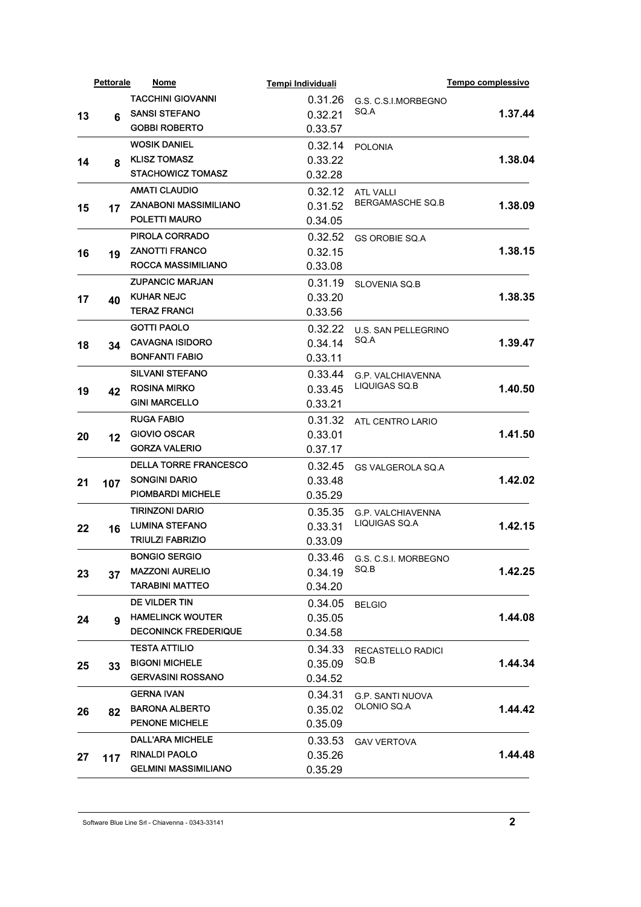|    | <b>Pettorale</b> | Nome                                           | Tempi Individuali |                                           | Tempo complessivo |
|----|------------------|------------------------------------------------|-------------------|-------------------------------------------|-------------------|
|    |                  | <b>TACCHINI GIOVANNI</b>                       | 0.31.26           | G.S. C.S.I.MORBEGNO                       |                   |
| 13 | 6                | <b>SANSI STEFANO</b>                           | 0.32.21           | SQ.A                                      | 1.37.44           |
|    |                  | <b>GOBBI ROBERTO</b>                           | 0.33.57           |                                           |                   |
|    |                  | <b>WOSIK DANIEL</b>                            | 0.32.14           | <b>POLONIA</b>                            |                   |
| 14 | 8                | <b>KLISZ TOMASZ</b>                            | 0.33.22           |                                           | 1.38.04           |
|    |                  | <b>STACHOWICZ TOMASZ</b>                       | 0.32.28           |                                           |                   |
|    |                  | <b>AMATI CLAUDIO</b>                           | 0.32.12           | <b>ATL VALLI</b>                          |                   |
| 15 | 17               | <b>ZANABONI MASSIMILIANO</b>                   | 0.31.52           | <b>BERGAMASCHE SQ.B</b>                   | 1.38.09           |
|    |                  | POLETTI MAURO                                  | 0.34.05           |                                           |                   |
|    |                  | PIROLA CORRADO                                 | 0.32.52           | <b>GS OROBIE SQ.A</b>                     |                   |
| 16 | 19               | <b>ZANOTTI FRANCO</b>                          | 0.32.15           |                                           | 1.38.15           |
|    |                  | ROCCA MASSIMILIANO                             | 0.33.08           |                                           |                   |
|    |                  | <b>ZUPANCIC MARJAN</b>                         | 0.31.19           | <b>SLOVENIA SQ.B</b>                      |                   |
| 17 | 40               | <b>KUHAR NEJC</b>                              | 0.33.20           |                                           | 1.38.35           |
|    |                  | <b>TERAZ FRANCI</b>                            | 0.33.56           |                                           |                   |
|    |                  | <b>GOTTI PAOLO</b>                             | 0.32.22           | U.S. SAN PELLEGRINO                       |                   |
| 18 | 34               | <b>CAVAGNA ISIDORO</b>                         | 0.34.14           | SQ.A                                      | 1.39.47           |
|    |                  | <b>BONFANTI FABIO</b>                          | 0.33.11           |                                           |                   |
|    |                  | <b>SILVANI STEFANO</b>                         | 0.33.44           | <b>G.P. VALCHIAVENNA</b>                  | 1.40.50           |
| 19 | 42               | <b>ROSINA MIRKO</b>                            | 0.33.45           | LIQUIGAS SQ.B                             |                   |
|    |                  | <b>GINI MARCELLO</b>                           | 0.33.21           |                                           |                   |
|    |                  | <b>RUGA FABIO</b>                              | 0.31.32           | ATL CENTRO LARIO                          |                   |
| 20 | 12               | GIOVIO OSCAR                                   | 0.33.01           |                                           | 1.41.50           |
|    |                  | <b>GORZA VALERIO</b>                           | 0.37.17           |                                           |                   |
|    |                  | <b>DELLA TORRE FRANCESCO</b>                   | 0.32.45           | GS VALGEROLA SQ.A                         |                   |
|    |                  | <b>SONGINI DARIO</b>                           | 0.33.48           |                                           | 1.42.02           |
| 21 | 107              | <b>PIOMBARDI MICHELE</b>                       | 0.35.29           |                                           |                   |
|    |                  | <b>TIRINZONI DARIO</b>                         | 0.35.35           |                                           |                   |
|    |                  | <b>LUMINA STEFANO</b>                          | 0.33.31           | <b>G.P. VALCHIAVENNA</b><br>LIQUIGAS SQ.A | 1.42.15           |
| 22 | 16               | <b>TRIULZI FABRIZIO</b>                        | 0.33.09           |                                           |                   |
|    |                  | <b>BONGIO SERGIO</b>                           | 0.33.46           |                                           |                   |
|    |                  | <b>MAZZONI AURELIO</b>                         | 0.34.19           | G.S. C.S.I. MORBEGNO<br>SQ.B              | 1.42.25           |
| 23 | 37               | <b>TARABINI MATTEO</b>                         | 0.34.20           |                                           |                   |
|    |                  | DE VILDER TIN                                  | 0.34.05           |                                           |                   |
|    |                  | <b>HAMELINCK WOUTER</b>                        | 0.35.05           | <b>BELGIO</b>                             | 1.44.08           |
| 24 | 9                | <b>DECONINCK FREDERIQUE</b>                    | 0.34.58           |                                           |                   |
|    |                  | <b>TESTA ATTILIO</b>                           |                   |                                           |                   |
|    |                  | <b>BIGONI MICHELE</b>                          | 0.34.33           | RECASTELLO RADICI<br>SQ B                 | 1.44.34           |
| 25 | 33               | <b>GERVASINI ROSSANO</b>                       | 0.35.09           |                                           |                   |
|    |                  |                                                | 0.34.52           |                                           |                   |
|    |                  | <b>GERNA IVAN</b>                              | 0.34.31           | <b>G.P. SANTI NUOVA</b><br>OLONIO SQ.A    |                   |
| 26 | 82               | <b>BARONA ALBERTO</b><br><b>PENONE MICHELE</b> | 0.35.02           |                                           | 1.44.42           |
|    |                  |                                                | 0.35.09           |                                           |                   |
|    |                  | <b>DALL'ARA MICHELE</b>                        | 0.33.53           | <b>GAV VERTOVA</b>                        |                   |
| 27 | 117              | <b>RINALDI PAOLO</b>                           | 0.35.26           |                                           | 1.44.48           |
|    |                  | <b>GELMINI MASSIMILIANO</b>                    | 0.35.29           |                                           |                   |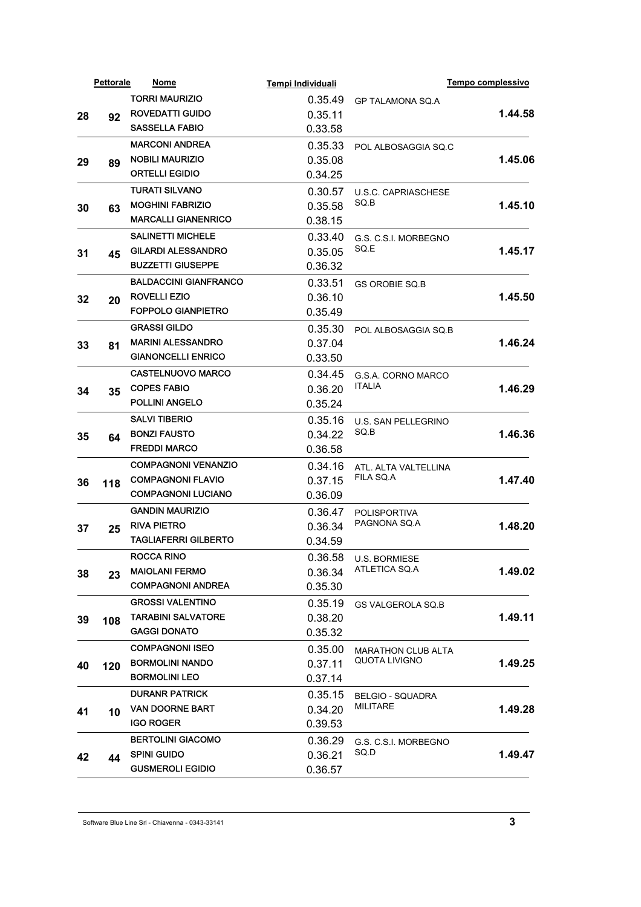|    | Pettorale | <u>Nome</u>                  | Tempi Individuali  |                                            | Tempo complessivo |
|----|-----------|------------------------------|--------------------|--------------------------------------------|-------------------|
|    |           | <b>TORRI MAURIZIO</b>        | 0.35.49            | <b>GP TALAMONA SQ.A</b>                    |                   |
| 28 | 92        | <b>ROVEDATTI GUIDO</b>       | 0.35.11            |                                            | 1.44.58           |
|    |           | <b>SASSELLA FABIO</b>        | 0.33.58            |                                            |                   |
|    |           | <b>MARCONI ANDREA</b>        | 0.35.33            | POL ALBOSAGGIA SO.C                        |                   |
| 29 | 89        | <b>NOBILI MAURIZIO</b>       | 0.35.08            |                                            | 1.45.06           |
|    |           | <b>ORTELLI EGIDIO</b>        | 0.34.25            |                                            |                   |
|    |           | <b>TURATI SILVANO</b>        | 0.30.57            | <b>U.S.C. CAPRIASCHESE</b>                 |                   |
| 30 |           | <b>MOGHINI FABRIZIO</b>      | 0.35.58            | SQ.B                                       | 1.45.10           |
|    | 63        | <b>MARCALLI GIANENRICO</b>   | 0.38.15            |                                            |                   |
|    |           | <b>SALINETTI MICHELE</b>     | 0.33.40            |                                            |                   |
|    |           | <b>GILARDI ALESSANDRO</b>    | 0.35.05            | G.S. C.S.I. MORBEGNO<br>SQ.E               | 1.45.17           |
| 31 | 45        | <b>BUZZETTI GIUSEPPE</b>     | 0.36.32            |                                            |                   |
|    |           | <b>BALDACCINI GIANFRANCO</b> | 0.33.51            |                                            |                   |
|    |           | <b>ROVELLI EZIO</b>          |                    | <b>GS OROBIE SQ.B</b>                      | 1.45.50           |
| 32 | 20        | <b>FOPPOLO GIANPIETRO</b>    | 0.36.10<br>0.35.49 |                                            |                   |
|    |           | <b>GRASSI GILDO</b>          |                    |                                            |                   |
|    |           | <b>MARINI ALESSANDRO</b>     | 0.35.30            | POL ALBOSAGGIA SQ.B                        | 1.46.24           |
| 33 | 81        | <b>GIANONCELLI ENRICO</b>    | 0.37.04            |                                            |                   |
|    |           |                              | 0.33.50            |                                            |                   |
|    |           | <b>CASTELNUOVO MARCO</b>     | 0.34.45            | <b>G.S.A. CORNO MARCO</b><br><b>ITALIA</b> |                   |
| 34 | 35        | <b>COPES FABIO</b>           | 0.36.20            |                                            | 1.46.29           |
|    |           | POLLINI ANGELO               | 0.35.24            |                                            |                   |
|    | 64        | <b>SALVI TIBERIO</b>         | 0.35.16            | U.S. SAN PELLEGRINO                        |                   |
| 35 |           | <b>BONZI FAUSTO</b>          | 0.34.22            | SQ B                                       | 1.46.36           |
|    |           | <b>FREDDI MARCO</b>          | 0.36.58            |                                            |                   |
|    | 118       | <b>COMPAGNONI VENANZIO</b>   | 0.34.16            | ATL. ALTA VALTELLINA<br>FILA SQ.A          |                   |
| 36 |           | <b>COMPAGNONI FLAVIO</b>     | 0.37.15            |                                            | 1.47.40           |
|    |           | <b>COMPAGNONI LUCIANO</b>    | 0.36.09            |                                            |                   |
|    |           | <b>GANDIN MAURIZIO</b>       | 0.36.47            | <b>POLISPORTIVA</b>                        |                   |
| 37 | 25        | <b>RIVA PIETRO</b>           | 0.36.34            | PAGNONA SQ.A                               | 1.48.20           |
|    |           | <b>TAGLIAFERRI GILBERTO</b>  | 0.34.59            |                                            |                   |
|    |           | <b>ROCCA RINO</b>            |                    | 0.36.58 U.S. BORMIESE                      |                   |
| 38 | 23        | <b>MAIOLANI FERMO</b>        | 0.36.34            | ATLETICA SQ.A                              | 1.49.02           |
|    |           | <b>COMPAGNONI ANDREA</b>     | 0.35.30            |                                            |                   |
|    |           | <b>GROSSI VALENTINO</b>      | 0.35.19            | <b>GS VALGEROLA SQ.B</b>                   |                   |
| 39 | 108       | <b>TARABINI SALVATORE</b>    | 0.38.20            |                                            | 1.49.11           |
|    |           | <b>GAGGI DONATO</b>          | 0.35.32            |                                            |                   |
|    |           | <b>COMPAGNONI ISEO</b>       | 0.35.00            | <b>MARATHON CLUB ALTA</b>                  |                   |
| 40 | 120       | <b>BORMOLINI NANDO</b>       | 0.37.11            | <b>QUOTA LIVIGNO</b>                       | 1.49.25           |
|    |           | <b>BORMOLINI LEO</b>         | 0.37.14            |                                            |                   |
|    |           | <b>DURANR PATRICK</b>        | 0.35.15            | <b>BELGIO - SQUADRA</b>                    |                   |
| 41 | 10        | <b>VAN DOORNE BART</b>       | 0.34.20            | <b>MILITARE</b>                            | 1.49.28           |
|    |           | <b>IGO ROGER</b>             | 0.39.53            |                                            |                   |
|    |           | <b>BERTOLINI GIACOMO</b>     | 0.36.29            | G.S. C.S.I. MORBEGNO                       |                   |
|    |           | <b>SPINI GUIDO</b>           | 0.36.21            | SQ D                                       | 1.49.47           |
| 42 | 44        | <b>GUSMEROLI EGIDIO</b>      | 0.36.57            |                                            |                   |
|    |           |                              |                    |                                            |                   |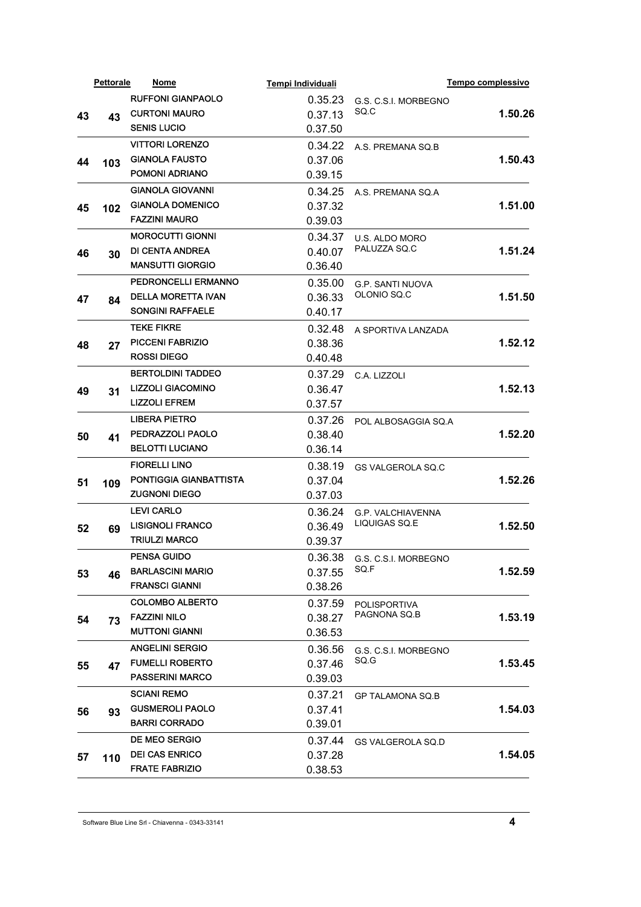|    | <b>Pettorale</b> | Nome                       | Tempi Individuali |                          | Tempo complessivo |
|----|------------------|----------------------------|-------------------|--------------------------|-------------------|
|    |                  | <b>RUFFONI GIANPAOLO</b>   | 0.35.23           | G.S. C.S.I. MORBEGNO     |                   |
| 43 | 43               | <b>CURTONI MAURO</b>       | 0.37.13           | SQ C                     | 1.50.26           |
|    |                  | <b>SENIS LUCIO</b>         | 0.37.50           |                          |                   |
|    |                  | <b>VITTORI LORENZO</b>     | 0.34.22           | A.S. PREMANA SQ.B        |                   |
| 44 | 103              | <b>GIANOLA FAUSTO</b>      | 0.37.06           |                          | 1.50.43           |
|    |                  | POMONI ADRIANO             | 0.39.15           |                          |                   |
|    |                  | <b>GIANOLA GIOVANNI</b>    | 0.34.25           | A.S. PREMANA SQ.A        |                   |
| 45 | 102              | <b>GIANOLA DOMENICO</b>    | 0.37.32           |                          | 1.51.00           |
|    |                  | <b>FAZZINI MAURO</b>       | 0.39.03           |                          |                   |
|    |                  | <b>MOROCUTTI GIONNI</b>    | 0.34.37           | U.S. ALDO MORO           |                   |
| 46 | 30               | <b>DI CENTA ANDREA</b>     | 0.40.07           | PALUZZA SQ.C             | 1.51.24           |
|    |                  | <b>MANSUTTI GIORGIO</b>    | 0.36.40           |                          |                   |
|    |                  | <b>PEDRONCELLI ERMANNO</b> | 0.35.00           | <b>G.P. SANTI NUOVA</b>  |                   |
| 47 | 84               | <b>DELLA MORETTA IVAN</b>  | 0.36.33           | OLONIO SQ.C              | 1.51.50           |
|    |                  | <b>SONGINI RAFFAELE</b>    | 0.40.17           |                          |                   |
|    |                  | <b>TEKE FIKRE</b>          | 0.32.48           | A SPORTIVA LANZADA       |                   |
| 48 | 27               | <b>PICCENI FABRIZIO</b>    | 0.38.36           |                          | 1.52.12           |
|    |                  | <b>ROSSI DIEGO</b>         | 0.40.48           |                          |                   |
|    |                  | <b>BERTOLDINI TADDEO</b>   | 0.37.29           | C.A. LIZZOLI             |                   |
| 49 | 31               | <b>LIZZOLI GIACOMINO</b>   | 0.36.47           |                          | 1.52.13           |
|    |                  | <b>LIZZOLI EFREM</b>       | 0.37.57           |                          |                   |
|    |                  | <b>LIBERA PIETRO</b>       | 0.37.26           | POL ALBOSAGGIA SQ.A      |                   |
| 50 | 41               | PEDRAZZOLI PAOLO           | 0.38.40           |                          | 1.52.20           |
|    |                  | <b>BELOTTI LUCIANO</b>     | 0.36.14           |                          |                   |
|    |                  | <b>FIORELLI LINO</b>       | 0.38.19           | <b>GS VALGEROLA SQ.C</b> |                   |
| 51 | 109              | PONTIGGIA GIANBATTISTA     | 0.37.04           |                          | 1.52.26           |
|    |                  | <b>ZUGNONI DIEGO</b>       | 0.37.03           |                          |                   |
|    |                  | <b>LEVI CARLO</b>          | 0.36.24           | <b>G.P. VALCHIAVENNA</b> |                   |
| 52 | 69               | <b>LISIGNOLI FRANCO</b>    | 0.36.49           | LIQUIGAS SQ.E            | 1.52.50           |
|    |                  | <b>TRIULZI MARCO</b>       | 0.39.37           |                          |                   |
|    |                  | <b>PENSA GUIDO</b>         | 0.36.38           | G.S. C.S.I. MORBEGNO     |                   |
| 53 | 46               | <b>BARLASCINI MARIO</b>    | 0.37.55           | SQ.F                     | 1.52.59           |
|    |                  | <b>FRANSCI GIANNI</b>      | 0.38.26           |                          |                   |
|    |                  | <b>COLOMBO ALBERTO</b>     | 0.37.59           | <b>POLISPORTIVA</b>      |                   |
| 54 | 73               | <b>FAZZINI NILO</b>        | 0.38.27           | PAGNONA SQ.B             | 1.53.19           |
|    |                  | <b>MUTTONI GIANNI</b>      | 0.36.53           |                          |                   |
|    |                  | <b>ANGELINI SERGIO</b>     | 0.36.56           | G.S. C.S.I. MORBEGNO     |                   |
| 55 | 47               | <b>FUMELLI ROBERTO</b>     | 0.37.46           | SQ.G                     | 1.53.45           |
|    |                  | <b>PASSERINI MARCO</b>     | 0.39.03           |                          |                   |
|    |                  | <b>SCIANI REMO</b>         | 0.37.21           | <b>GP TALAMONA SQ.B</b>  |                   |
| 56 |                  | <b>GUSMEROLI PAOLO</b>     | 0.37.41           |                          | 1.54.03           |
|    | 93               | <b>BARRI CORRADO</b>       | 0.39.01           |                          |                   |
|    |                  | DE MEO SERGIO              | 0.37.44           | GS VALGEROLA SQ.D        |                   |
|    |                  | <b>DEI CAS ENRICO</b>      | 0.37.28           |                          | 1.54.05           |
| 57 | 110              | <b>FRATE FABRIZIO</b>      | 0.38.53           |                          |                   |
|    |                  |                            |                   |                          |                   |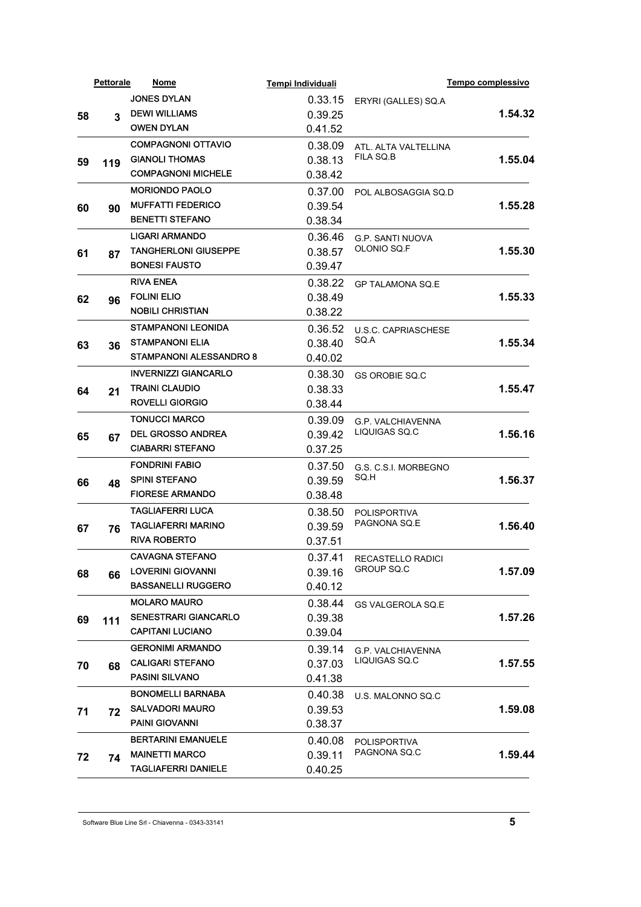|    | <b>Pettorale</b> | Nome                                                     | Tempi Individuali |                                     | Tempo complessivo |
|----|------------------|----------------------------------------------------------|-------------------|-------------------------------------|-------------------|
|    |                  | <b>JONES DYLAN</b>                                       | 0.33.15           | ERYRI (GALLES) SQ.A                 |                   |
| 58 | 3                | <b>DEWI WILLIAMS</b>                                     | 0.39.25           |                                     | 1.54.32           |
|    |                  | <b>OWEN DYLAN</b>                                        | 0.41.52           |                                     |                   |
|    |                  | <b>COMPAGNONI OTTAVIO</b>                                | 0.38.09           | ATL. ALTA VALTELLINA                |                   |
| 59 | 119              | <b>GIANOLI THOMAS</b>                                    | 0.38.13           | FILA SQ B                           | 1.55.04           |
|    |                  | <b>COMPAGNONI MICHELE</b>                                | 0.38.42           |                                     |                   |
|    |                  | <b>MORIONDO PAOLO</b>                                    | 0.37.00           | POL ALBOSAGGIA SO.D                 |                   |
| 60 | 90               | <b>MUFFATTI FEDERICO</b>                                 | 0.39.54           |                                     | 1.55.28           |
|    |                  | <b>BENETTI STEFANO</b>                                   | 0.38.34           |                                     |                   |
|    |                  | <b>LIGARI ARMANDO</b>                                    | 0.36.46           | <b>G.P. SANTI NUOVA</b>             |                   |
|    |                  | <b>TANGHERLONI GIUSEPPE</b>                              | 0.38.57           | OLONIO SQ.F                         | 1.55.30           |
| 61 | 87               | <b>BONESI FAUSTO</b>                                     | 0.39.47           |                                     |                   |
|    |                  | <b>RIVA ENEA</b>                                         | 0.38.22           |                                     |                   |
|    |                  | <b>FOLINI ELIO</b>                                       | 0.38.49           | <b>GP TALAMONA SQ.E</b>             | 1.55.33           |
| 62 | 96               | <b>NOBILI CHRISTIAN</b>                                  | 0.38.22           |                                     |                   |
|    |                  |                                                          |                   |                                     |                   |
|    |                  | <b>STAMPANONI LEONIDA</b>                                | 0.36.52           | <b>U.S.C. CAPRIASCHESE</b><br>SQ A  |                   |
| 63 | 36               | <b>STAMPANONI ELIA</b><br><b>STAMPANONI ALESSANDRO 8</b> | 0.38.40           |                                     | 1.55.34           |
|    |                  |                                                          | 0.40.02           |                                     |                   |
| 64 | 21               | <b>INVERNIZZI GIANCARLO</b>                              | 0.38.30           | <b>GS OROBIE SO.C</b>               |                   |
|    |                  | <b>TRAINI CLAUDIO</b>                                    | 0.38.33           |                                     | 1.55.47           |
|    |                  | <b>ROVELLI GIORGIO</b>                                   | 0.38.44           |                                     |                   |
|    |                  | <b>TONUCCI MARCO</b>                                     | 0.39.09           | <b>G.P. VALCHIAVENNA</b>            |                   |
| 65 | 67               | <b>DEL GROSSO ANDREA</b>                                 | 0.39.42           | LIQUIGAS SQ.C                       | 1.56.16           |
|    |                  | <b>CIABARRI STEFANO</b>                                  | 0.37.25           |                                     |                   |
|    |                  | <b>FONDRINI FABIO</b>                                    | 0.37.50           | G.S. C.S.I. MORBEGNO<br>SQ.H        |                   |
| 66 | 48               | <b>SPINI STEFANO</b>                                     | 0.39.59           |                                     | 1.56.37           |
|    |                  | <b>FIORESE ARMANDO</b>                                   | 0.38.48           |                                     |                   |
|    |                  | <b>TAGLIAFERRI LUCA</b>                                  | 0.38.50           | <b>POLISPORTIVA</b>                 |                   |
| 67 | 76               | <b>TAGLIAFERRI MARINO</b>                                | 0.39.59           | PAGNONA SQ.E                        | 1.56.40           |
|    |                  | <b>RIVA ROBERTO</b>                                      | 0.37.51           |                                     |                   |
|    |                  | <b>CAVAGNA STEFANO</b>                                   | 0.37.41           | RECASTELLO RADICI                   |                   |
| 68 | 66               | <b>LOVERINI GIOVANNI</b>                                 | 0.39.16           | <b>GROUP SQ.C</b>                   | 1.57.09           |
|    |                  | <b>BASSANELLI RUGGERO</b>                                | 0.40.12           |                                     |                   |
|    |                  | <b>MOLARO MAURO</b>                                      | 0.38.44           | <b>GS VALGEROLA SQ.E</b>            |                   |
| 69 |                  | <b>SENESTRARI GIANCARLO</b>                              | 0.39.38           |                                     | 1.57.26           |
|    | 111              | <b>CAPITANI LUCIANO</b>                                  | 0.39.04           |                                     |                   |
|    |                  | <b>GERONIMI ARMANDO</b>                                  | 0.39.14           | <b>G.P. VALCHIAVENNA</b>            |                   |
|    |                  | <b>CALIGARI STEFANO</b>                                  | 0.37.03           | LIQUIGAS SQ.C                       | 1.57.55           |
| 70 | 68               | <b>PASINI SILVANO</b>                                    | 0.41.38           |                                     |                   |
|    |                  | <b>BONOMELLI BARNABA</b>                                 |                   |                                     |                   |
|    |                  | <b>SALVADORI MAURO</b>                                   | 0.40.38           | U.S. MALONNO SQ.C.                  |                   |
| 71 | 72               | <b>PAINI GIOVANNI</b>                                    | 0.39.53           |                                     | 1.59.08           |
|    |                  |                                                          | 0.38.37           |                                     |                   |
|    |                  | <b>BERTARINI EMANUELE</b>                                | 0.40.08           | <b>POLISPORTIVA</b><br>PAGNONA SQ.C |                   |
| 72 | 74               | <b>MAINETTI MARCO</b>                                    | 0.39.11           |                                     | 1.59.44           |
|    |                  | <b>TAGLIAFERRI DANIELE</b>                               | 0.40.25           |                                     |                   |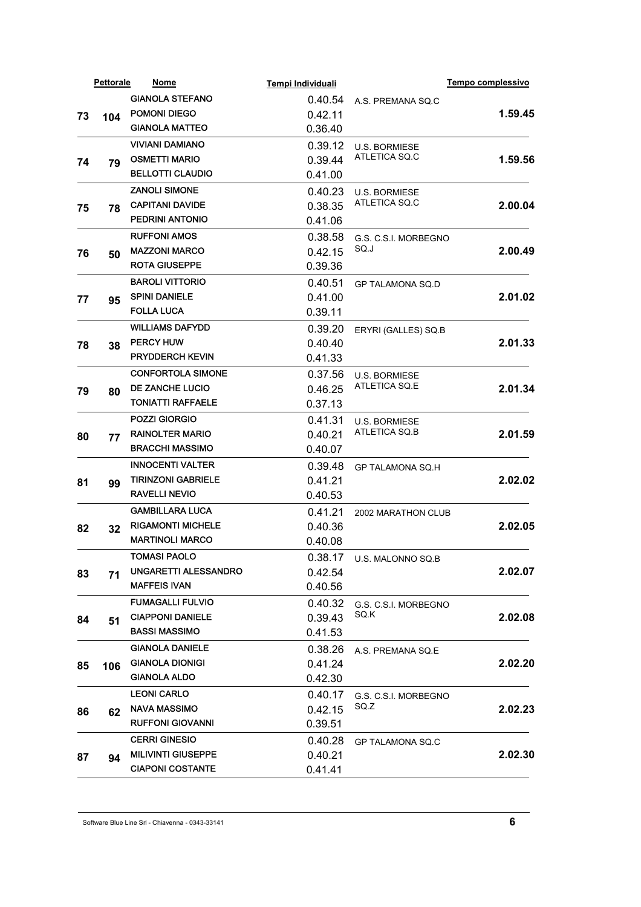|    | <b>Pettorale</b> | Nome                        | Tempi Individuali         |                              | Tempo complessivo |         |
|----|------------------|-----------------------------|---------------------------|------------------------------|-------------------|---------|
|    |                  | <b>GIANOLA STEFANO</b>      | 0.40.54                   | A.S. PREMANA SQ.C            |                   |         |
| 73 | 104              | POMONI DIEGO                | 0.42.11                   |                              | 1.59.45           |         |
|    |                  | <b>GIANOLA MATTEO</b>       | 0.36.40                   |                              |                   |         |
|    |                  | <b>VIVIANI DAMIANO</b>      | 0.39.12                   | <b>U.S. BORMIESE</b>         |                   |         |
| 74 | 79               | <b>OSMETTI MARIO</b>        | 0.39.44                   | ATLETICA SQ.C                | 1.59.56           |         |
|    |                  | <b>BELLOTTI CLAUDIO</b>     | 0.41.00                   |                              |                   |         |
|    |                  | <b>ZANOLI SIMONE</b>        | 0.40.23                   | <b>U.S. BORMIESE</b>         |                   |         |
| 75 | 78               | <b>CAPITANI DAVIDE</b>      | 0.38.35                   | ATLETICA SQ.C                | 2.00.04           |         |
|    |                  | PEDRINI ANTONIO             | 0.41.06                   |                              |                   |         |
|    |                  | <b>RUFFONI AMOS</b>         | 0.38.58                   | G.S. C.S.I. MORBEGNO         |                   |         |
| 76 | 50               | <b>MAZZONI MARCO</b>        | 0.42.15                   | SQ.J                         | 2.00.49           |         |
|    |                  | <b>ROTA GIUSEPPE</b>        | 0.39.36                   |                              |                   |         |
|    |                  | <b>BAROLI VITTORIO</b>      | 0.40.51                   | <b>GP TALAMONA SQ.D</b>      |                   |         |
| 77 |                  | <b>SPINI DANIELE</b>        | 0.41.00                   |                              | 2.01.02           |         |
|    | 95               | <b>FOLLA LUCA</b>           | 0.39.11                   |                              |                   |         |
|    |                  | <b>WILLIAMS DAFYDD</b>      | 0.39.20                   | ERYRI (GALLES) SQ.B          |                   |         |
| 78 | 38               | <b>PERCY HUW</b>            | 0.40.40                   |                              | 2.01.33           |         |
|    |                  | <b>PRYDDERCH KEVIN</b>      | 0.41.33                   |                              |                   |         |
|    |                  | <b>CONFORTOLA SIMONE</b>    | 0.37.56                   | <b>U.S. BORMIESE</b>         |                   |         |
| 79 |                  | DE ZANCHE LUCIO             | 0.46.25                   | ATLETICA SQ.E                | 2.01.34           |         |
|    | 80               | <b>TONIATTI RAFFAELE</b>    | 0.37.13                   |                              |                   |         |
|    |                  | POZZI GIORGIO               | 0.41.31                   | <b>U.S. BORMIESE</b>         |                   |         |
|    |                  | <b>RAINOLTER MARIO</b>      | 0.40.21                   | ATLETICA SQ.B                | 2.01.59           |         |
| 80 | 77               | <b>BRACCHI MASSIMO</b>      | 0.40.07                   |                              |                   |         |
|    |                  | <b>INNOCENTI VALTER</b>     | 0.39.48                   | <b>GP TALAMONA SQ.H</b>      |                   |         |
|    | 99               | <b>TIRINZONI GABRIELE</b>   | 0.41.21                   |                              | 2.02.02           |         |
| 81 |                  | RAVELLI NEVIO               | 0.40.53                   |                              |                   |         |
|    |                  | <b>GAMBILLARA LUCA</b>      | 0.41.21                   |                              |                   |         |
|    |                  | <b>RIGAMONTI MICHELE</b>    | 0.40.36                   | 2002 MARATHON CLUB           | 2.02.05           |         |
| 82 | 32               | <b>MARTINOLI MARCO</b>      | 0.40.08                   |                              |                   |         |
|    |                  | <b>TOMASI PAOLO</b>         |                           | 0.38.17 U.S. MALONNO SQ.B    |                   |         |
|    |                  | <b>UNGARETTI ALESSANDRO</b> | 0.42.54                   |                              | 2.02.07           |         |
| 83 | 71               | MAFFEIS IVAN                | 0.40.56                   |                              |                   |         |
|    |                  | FUMAGALLI FULVIO            |                           |                              |                   |         |
|    |                  | <b>CIAPPONI DANIELE</b>     | 0.40.32<br>0.39.43        | G.S. C.S.I. MORBEGNO<br>SQ K | 2.02.08           |         |
| 84 | 51               | <b>BASSI MASSIMO</b>        | 0.41.53                   |                              |                   |         |
|    |                  | <b>GIANOLA DANIELE</b>      |                           |                              |                   |         |
|    |                  | <b>GIANOLA DIONIGI</b>      | 0.38.26                   | A.S. PREMANA SQ.E.           | 2.02.20           |         |
| 85 | 106              | <b>GIANOLA ALDO</b>         | 0.41.24<br>0.42.30        |                              |                   |         |
|    |                  | <b>LEONI CARLO</b>          |                           |                              |                   |         |
|    |                  | <b>NAVA MASSIMO</b>         | 0.40.17                   | G.S. C.S.I. MORBEGNO<br>SQ.Z |                   |         |
| 86 | 62               | <b>RUFFONI GIOVANNI</b>     | 0.42.15                   |                              | 2.02.23           |         |
|    |                  |                             | 0.39.51                   |                              |                   |         |
|    |                  | <b>CERRI GINESIO</b>        | 0.40.28                   | <b>GP TALAMONA SQ.C</b>      |                   |         |
| 87 | 94               |                             | <b>MILIVINTI GIUSEPPE</b> | 0.40.21                      |                   | 2.02.30 |
|    |                  | <b>CIAPONI COSTANTE</b>     | 0.41.41                   |                              |                   |         |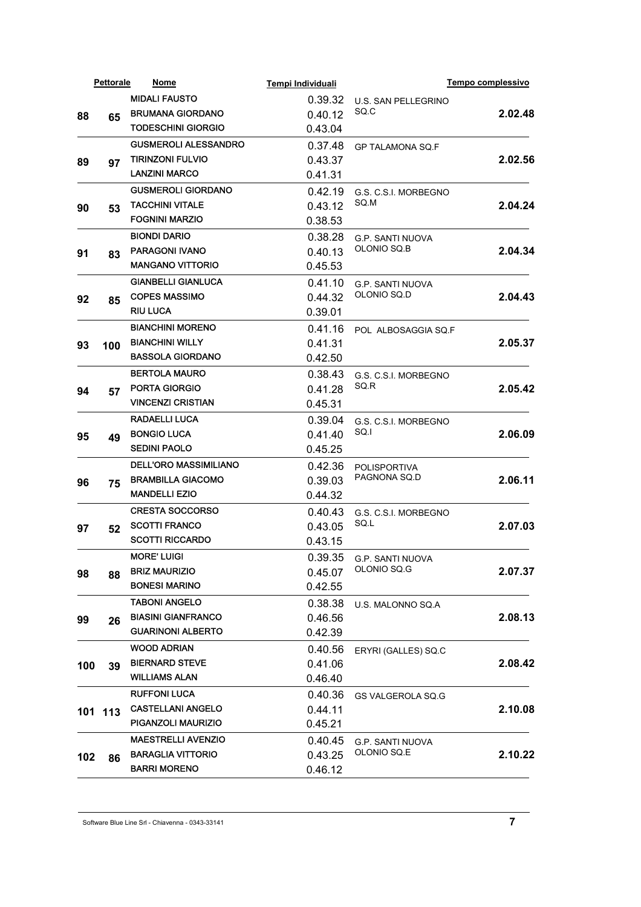|     | <b>Pettorale</b> | Nome                         | Tempi Individuali  |                                        | Tempo complessivo |
|-----|------------------|------------------------------|--------------------|----------------------------------------|-------------------|
|     |                  | <b>MIDALI FAUSTO</b>         | 0.39.32            | <b>U.S. SAN PELLEGRINO</b>             |                   |
| 88  | 65               | <b>BRUMANA GIORDANO</b>      | 0.40.12            | SQ.C                                   | 2.02.48           |
|     |                  | <b>TODESCHINI GIORGIO</b>    | 0.43.04            |                                        |                   |
|     |                  | <b>GUSMEROLI ALESSANDRO</b>  | 0.37.48            | <b>GP TALAMONA SQ.F</b>                |                   |
| 89  | 97               | <b>TIRINZONI FULVIO</b>      | 0.43.37            |                                        | 2.02.56           |
|     |                  | <b>LANZINI MARCO</b>         | 0.41.31            |                                        |                   |
|     |                  | <b>GUSMEROLI GIORDANO</b>    | 0.42.19            | G.S. C.S.I. MORBEGNO                   |                   |
| 90  | 53               | <b>TACCHINI VITALE</b>       | 0.43.12            | SQ.M                                   | 2.04.24           |
|     |                  | <b>FOGNINI MARZIO</b>        | 0.38.53            |                                        |                   |
|     |                  | <b>BIONDI DARIO</b>          | 0.38.28            | <b>G.P. SANTI NUOVA</b>                |                   |
| 91  | 83               | <b>PARAGONI IVANO</b>        | 0.40.13            | OLONIO SQ.B                            | 2.04.34           |
|     |                  | <b>MANGANO VITTORIO</b>      | 0.45.53            |                                        |                   |
|     |                  | <b>GIANBELLI GIANLUCA</b>    | 0.41.10            | <b>G.P. SANTI NUOVA</b>                |                   |
| 92  | 85               | <b>COPES MASSIMO</b>         | 0.44.32            | OLONIO SQ.D                            | 2.04.43           |
|     |                  | <b>RIU LUCA</b>              | 0.39.01            |                                        |                   |
|     |                  | <b>BIANCHINI MORENO</b>      | 0.41.16            | POL ALBOSAGGIA SQ.F                    |                   |
| 93  | 100              | <b>BIANCHINI WILLY</b>       | 0.41.31            |                                        | 2.05.37           |
|     |                  | <b>BASSOLA GIORDANO</b>      | 0.42.50            |                                        |                   |
|     | 57               | <b>BERTOLA MAURO</b>         | 0.38.43            | G.S. C.S.I. MORBEGNO                   |                   |
| 94  |                  | <b>PORTA GIORGIO</b>         | 0.41.28            | SO R                                   | 2.05.42           |
|     |                  | <b>VINCENZI CRISTIAN</b>     | 0.45.31            |                                        |                   |
|     |                  | RADAELLI LUCA                | 0.39.04            | G.S. C.S.I. MORBEGNO                   |                   |
|     |                  | <b>BONGIO LUCA</b>           | 0.41.40            | SQ.I                                   | 2.06.09           |
| 95  | 49               | <b>SEDINI PAOLO</b>          | 0.45.25            |                                        |                   |
|     |                  | <b>DELL'ORO MASSIMILIANO</b> | 0.42.36            | <b>POLISPORTIVA</b><br>PAGNONA SQ.D    |                   |
|     |                  | <b>BRAMBILLA GIACOMO</b>     | 0.39.03            |                                        | 2.06.11           |
| 96  | 75               | <b>MANDELLI EZIO</b>         | 0.44.32            |                                        |                   |
|     |                  | <b>CRESTA SOCCORSO</b>       | 0.40.43            |                                        |                   |
|     |                  | <b>SCOTTI FRANCO</b>         | 0.43.05            | G.S. C.S.I. MORBEGNO<br>SQ L           | 2.07.03           |
| 97  | 52               | <b>SCOTTI RICCARDO</b>       | 0.43.15            |                                        |                   |
|     |                  | <b>MORE' LUIGI</b>           |                    |                                        |                   |
|     |                  | <b>BRIZ MAURIZIO</b>         | 0.39.35<br>0.45.07 | <b>G.P. SANTI NUOVA</b><br>OLONIO SQ.G | 2.07.37           |
| 98  | 88               | <b>BONESI MARINO</b>         | 0.42.55            |                                        |                   |
|     |                  | <b>TABONI ANGELO</b>         |                    |                                        |                   |
|     |                  | <b>BIASINI GIANFRANCO</b>    | 0.38.38            | U.S. MALONNO SQ.A                      |                   |
| 99  | 26               | <b>GUARINONI ALBERTO</b>     | 0.46.56<br>0.42.39 |                                        | 2.08.13           |
|     |                  |                              |                    |                                        |                   |
|     |                  | <b>WOOD ADRIAN</b>           | 0.40.56            | ERYRI (GALLES) SQ.C                    |                   |
| 100 | 39               | <b>BIERNARD STEVE</b>        | 0.41.06            |                                        | 2.08.42           |
|     |                  | <b>WILLIAMS ALAN</b>         | 0.46.40            |                                        |                   |
|     |                  | <b>RUFFONI LUCA</b>          | 0.40.36            | GS VALGEROLA SQ.G                      |                   |
|     | 101 113          | <b>CASTELLANI ANGELO</b>     | 0.44.11            |                                        | 2.10.08           |
|     |                  | PIGANZOLI MAURIZIO           | 0.45.21            |                                        |                   |
|     |                  | <b>MAESTRELLI AVENZIO</b>    | 0.40.45            | <b>G.P. SANTI NUOVA</b>                |                   |
| 102 | 86               | <b>BARAGLIA VITTORIO</b>     | 0.43.25            | OLONIO SQ.E                            | 2.10.22           |
|     |                  | <b>BARRI MORENO</b>          | 0.46.12            |                                        |                   |